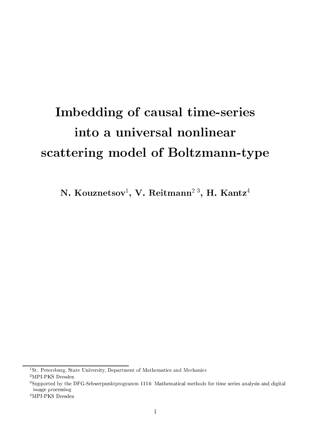# Imbedding of causal time-series into <sup>a</sup> universal nonlinear s
attering model of Boltzmann-type

ly. Kouznetsov , v. Keitmann <sup>-</sup> , H. Kantz

<sup>-</sup>St. Petersburg, State University, Department of Mathematics and Mechanics

<sup>2</sup>MPI-PKS Dresden

<sup>3</sup> Supported by the DFG-S
hwerpunktprogramm 1114: Mathemati
al methods for time series analysis and digital image pro
essing

<sup>4</sup>MPI-PKS Dresden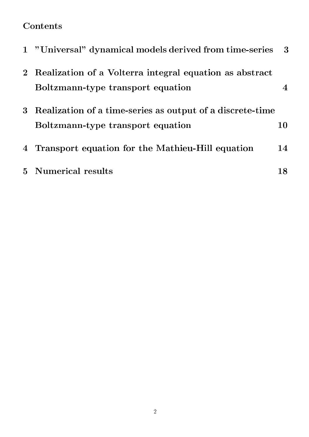## **Contents**

|                | 1 "Universal" dynamical models derived from time-series                                        | - 3 |
|----------------|------------------------------------------------------------------------------------------------|-----|
| 2 <sup>1</sup> | Realization of a Volterra integral equation as abstract<br>Boltzmann-type transport equation   |     |
| 3 <sup>2</sup> | Realization of a time-series as output of a discrete-time<br>Boltzmann-type transport equation | 10  |
| $\overline{4}$ | Transport equation for the Mathieu-Hill equation                                               | 14  |
|                | 5 Numerical results                                                                            |     |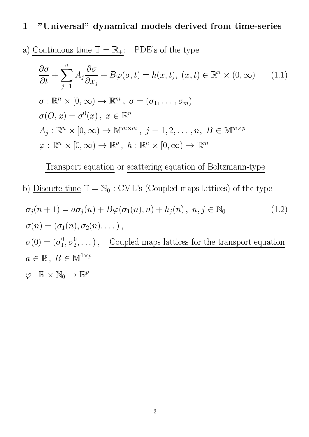## 1 "Universal" dynami
al models derived from time-series

a) Continuous time 
$$
\mathbb{T} = \mathbb{R}_+
$$
: PDE's of the type

$$
\frac{\partial \sigma}{\partial t} + \sum_{j=1}^{n} A_j \frac{\partial \sigma}{\partial x_j} + B\varphi(\sigma, t) = h(x, t), (x, t) \in \mathbb{R}^n \times (0, \infty) \qquad (1.1)
$$
  
\n
$$
\sigma : \mathbb{R}^n \times [0, \infty) \to \mathbb{R}^m, \ \sigma = (\sigma_1, \dots, \sigma_m)
$$
  
\n
$$
\sigma(O, x) = \sigma^0(x), \ x \in \mathbb{R}^n
$$
  
\n
$$
A_j : \mathbb{R}^n \times [0, \infty) \to \mathbb{M}^{m \times m}, \ j = 1, 2, \dots, n, \ B \in \mathbb{M}^{m \times p}
$$
  
\n
$$
\varphi : \mathbb{R}^n \times [0, \infty) \to \mathbb{R}^p, \ h : \mathbb{R}^n \times [0, \infty) \to \mathbb{R}^m
$$

Transport equation or s
attering equation of Boltzmann-type

b) <u>Discrete time</u>  $\mathbb{T} = \mathbb{N}_0$ : CML's (Coupled maps lattices) of the type

$$
\sigma_j(n+1) = a\sigma_j(n) + B\varphi(\sigma_1(n), n) + h_j(n), \ n, j \in \mathbb{N}_0
$$
\n
$$
\sigma(n) = (\sigma_1(n), \sigma_2(n), \dots),
$$
\n
$$
\sigma(0) = (\sigma_1^0, \sigma_2^0, \dots), \quad \text{Coupled maps lattices for the transport equation}
$$
\n
$$
a \in \mathbb{R}, \ B \in \mathbb{M}^{1 \times p}
$$
\n
$$
\varphi : \mathbb{R} \times \mathbb{N}_0 \to \mathbb{R}^p
$$
\n(1.2)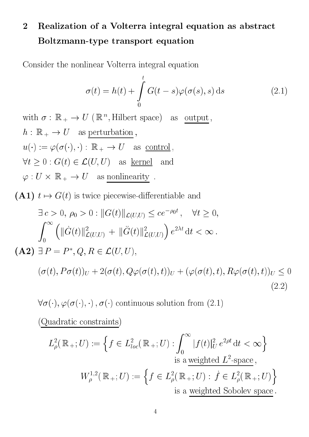## 2 Realization of a Volterra integral equation as abstract Boltzmann-type transport equation

Consider the nonlinear Volterra integral equation

$$
\sigma(t) = h(t) + \int_{0}^{t} G(t - s) \varphi(\sigma(s), s) \,ds \qquad (2.1)
$$

with  $\sigma : \mathbb{R}_+ \to U \in \mathbb{R}^n$ , Hilbert space) as output, h : R + P as perturbation ;  $u(\cdot) := \varphi(\sigma(\cdot), \cdot) : \mathbb{R}_+ \to U$  as <u>control</u>,  $\forall t \geq 0 : G(t) \in \mathcal{L}(U, U)$  as <u>kernel</u> and  $\varphi: U \times \mathbb{R}_+ \to U \quad \text{as nonlinearity} \enspace .$ 

(A1)  $t \mapsto G(t)$  is twice piecewise-differentiable and

$$
\exists c > 0, \, \rho_0 > 0 : ||G(t)||_{\mathcal{L}(U,U)} \le ce^{-\rho_0 t}, \quad \forall t \ge 0,
$$
\n
$$
\int_0^\infty \left( ||\dot{G}(t)||_{\mathcal{L}(U,U)}^2 + ||\ddot{G}(t)||_{\mathcal{L}(U,U)}^2 \right) e^{2\lambda t} dt < \infty.
$$
\n(A2) 
$$
\exists P = P^*, Q, R \in \mathcal{L}(U, U),
$$
\n
$$
(\sigma(t), P\sigma(t))_U + 2(\sigma(t), Q\varphi(\sigma(t), t))_U + (\varphi(\sigma(t), t), R\varphi(\sigma(t), t))_U \le 0
$$
\n(2.2)

 $\forall \sigma(\cdot), \varphi(\sigma(\cdot), \cdot)$ ,  $\sigma(\cdot)$  continuous solution from (2.1)

(Quadratic constraints)

$$
L^2_{\rho}(\mathbb{R}_+; U) := \left\{ f \in L^2_{loc}(\mathbb{R}_+; U) : \int_0^{\infty} |f(t)|^2_{U} e^{2\rho t} dt < \infty \right\}
$$
\nis a weighted  $L^2$ -space,

\n
$$
W^{1,2}_{\rho}(\mathbb{R}_+; U) := \left\{ f \in L^2_{\rho}(\mathbb{R}_+; U) : f \in L^2_{\rho}(\mathbb{R}_+; U) \right\}
$$
\nis a weighted Sobolev space.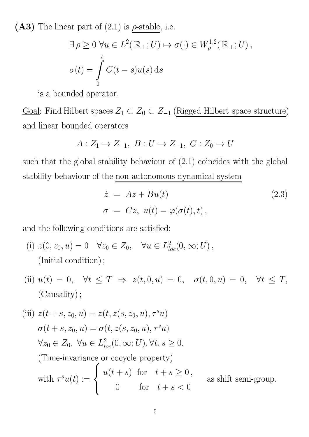(A3) The linear part of  $(2.1)$  is  $\rho$ -stable, i.e.

$$
\exists \rho \ge 0 \,\forall u \in L^{2}(\mathbb{R}_{+}; U) \mapsto \sigma(\cdot) \in W_{\rho}^{1,2}(\mathbb{R}_{+}; U),
$$
  

$$
\sigma(t) = \int_{0}^{t} G(t - s)u(s) \,ds
$$

is a bounded operator.

Goal: Find Hilbert spaces  $Z_1 \subset Z_0 \subset Z_{-1}$  (Rigged Hilbert space structure) and linear bounded operators

$$
A: Z_1 \to Z_{-1}, B: U \to Z_{-1}, C: Z_0 \to U
$$

such that the global stability behaviour of  $(2.1)$  coincides with the global stability behaviour of the non-autonomous dynami
al system

$$
\dot{z} = Az + Bu(t) \qquad (2.3)
$$
  

$$
\sigma = Cz, u(t) = \varphi(\sigma(t), t),
$$

and the following conditions are satisfied:

- (1)  $z(0, z_0, u) = 0$   $v z_0 \in Z_0$ ,  $v u \in L_{loc}^1(0, \infty, U)$ , (Initial ondition) ;
- (ii)  $u(t) = 0$ ,  $\forall t \leq T \Rightarrow z(t, 0, u) = 0$ ,  $\sigma(t, 0, u) = 0$ ,  $\forall t \leq T$ , (Causality) ;

(iii) 
$$
z(t+s, z_0, u) = z(t, z(s, z_0, u), \tau^s u)
$$
  
\n $\sigma(t+s, z_0, u) = \sigma(t, z(s, z_0, u), \tau^s u)$   
\n $\forall z_0 \in Z_0, \forall u \in L^2_{loc}(0, \infty; U), \forall t, s \ge 0,$   
\n(Time-invariance or cocycle property)  
\nwith  $\tau^s u(t) := \begin{cases} u(t+s) & \text{for } t+s \ge 0, \\ 0 & \text{for } t+s < 0 \end{cases}$  as shift semi-group.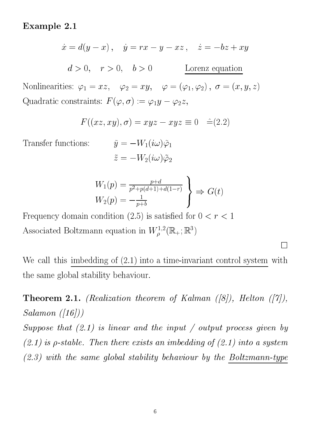## Example 2.1

$$
\dot{x} = d(y - x), \quad \dot{y} = rx - y - xz, \quad \dot{z} = -bz + xy
$$
  

$$
d > 0, \quad r > 0, \quad b > 0
$$
 Lorenz equation

Nonlinearities:  $\varphi_1 = xz$ ,  $\varphi_2 = xy$ ,  $\varphi = (\varphi_1, \varphi_2)$ ,  $\sigma = (x, y, z)$ Quadratic constraints:  $F(\varphi, \sigma) := \varphi_1 y - \varphi_2 z$ ,

$$
F((xz, xy), \sigma) = xyz - xyz \equiv 0 \quad \hat{=} (2.2)
$$

Transfer functions:

$$
\begin{aligned} \tilde{y}&=-W_1(i\omega)\tilde{\varphi}_1\\ \tilde{z}&=-W_2(i\omega)\tilde{\varphi}_2 \end{aligned}
$$

$$
W_1(p) = \frac{p+d}{p^2 + p(d+1) + d(1-r)} \}\n\Rightarrow G(t)
$$
\n
$$
W_2(p) = -\frac{1}{p+b}
$$

Frequency domain condition (2.5) is satisfied for  $0 < r < 1$ Associated Boltzmann equation in  $W_{\rho}^{1,2}(\mathbb{R}_+;\mathbb{R}^3)$ 

We call this imbedding of  $(2.1)$  into a time-invariant control system with the same global stability behaviour.

 $\Box$ 

**Theorem 2.1.** (Realization theorem of Kalman ([8]), Helton ([7]),  $Salamon$   $([16]))$ 

Suppose that  $(2.1)$  is linear and the input / output process given by  $(2.1)$  is  $\rho$ -stable. Then there exists an imbedding of  $(2.1)$  into a system  $(2.3)$  with the same global stability behaviour by the Boltzmann-type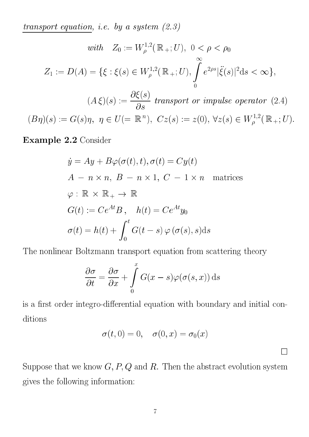transport equation, i.e. by a system  $(2.3)$ 

$$
\begin{aligned}\n\text{with} \quad Z_0 &:= W_{\rho}^{1,2}(\mathbb{R}_+; U), \ 0 < \rho < \rho_0 \\
Z_1 &:= D(A) = \{ \xi : \xi(s) \in W_{\rho}^{1,2}(\mathbb{R}_+; U), \int_0^\infty e^{2\rho s} |\ddot{\xi}(s)|^2 \mathrm{d}s < \infty \}, \\
(A\xi)(s) &:= \frac{\partial \xi(s)}{\partial s} \text{ transport or impulse operator (2.4)} \\
(B\eta)(s) &:= G(s)\eta, \ \eta \in U(= \mathbb{R}^n), \ Cz(s) := z(0), \ \forall z(s) \in W_{\rho}^{1,2}(\mathbb{R}_+; U).\n\end{aligned}
$$

Example 2.2 Consider

$$
\dot{y} = Ay + B\varphi(\sigma(t), t), \sigma(t) = Cy(t)
$$
  
\n
$$
A - n \times n, B - n \times 1, C - 1 \times n \text{ matrices}
$$
  
\n
$$
\varphi : \mathbb{R} \times \mathbb{R}_+ \to \mathbb{R}
$$
  
\n
$$
G(t) := Ce^{At}B, \quad h(t) = Ce^{At}y_0
$$
  
\n
$$
\sigma(t) = h(t) + \int_0^t G(t - s) \varphi(\sigma(s), s) ds
$$

The nonlinear Boltzmann transport equation from s
attering theory

$$
\frac{\partial \sigma}{\partial t} = \frac{\partial \sigma}{\partial x} + \int_{0}^{x} G(x - s) \varphi(\sigma(s, x)) ds
$$

is a first order integro-differential equation with boundary and initial conditions

$$
\sigma(t,0) = 0, \quad \sigma(0,x) = \sigma_0(x)
$$

 $\Box$ 

Suppose that we know  $G, P, Q$  and  $R$ . Then the abstract evolution system gives the following information: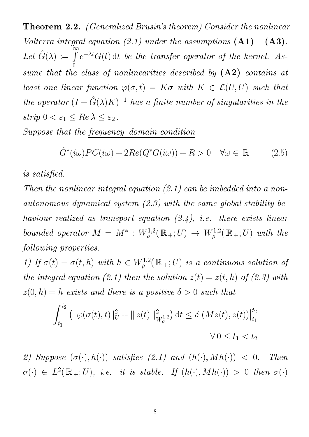Theorem 2.2. (Generalized Brusin's theorem) Consider the nonlinear Volterra integral equation (2.1) under the assumptions  $(A1) - (A3)$ . Let  $\hat{G}(\lambda) := \int e^{-\lambda t} G(t) dt$  be the transfer operator of the kernel. As- $\sim$ sume that the lass of nonlinearities des
ribed by (A2) ontains at least one linear function  $\varphi(\sigma,t) = K\sigma$  with  $K \in \mathcal{L}(U,U)$  such that the operator  $(I - G(\lambda)K)$  is not a funite number of singularities in the strip  $0 < \varepsilon_1 \leq Re \lambda \leq \varepsilon_2$ .

Suppose that the frequency-domain condition

$$
\hat{G}^*(i\omega)PG(i\omega) + 2Re(Q^*G(i\omega)) + R > 0 \quad \forall \omega \in \mathbb{R}
$$
 (2.5)

is satisfied.

Then the nonlinear integral equation  $(2.1)$  can be imbedded into a nonautonomous dynamical system  $(2.3)$  with the same global stability behaviour realized as transport equation  $(2.4)$ , i.e. there exists linear bounded operator  $M = M^+ : W^{\perp, \sim}_{\rho}(\mathbb{R}_+; U) \rightarrow W^{\perp, \sim}_{\rho}(\mathbb{R}_+; U)$  with the following properties.

1) If  $\sigma(t) = \sigma(t, n)$  with  $n \in W_{\rho}^{(2,2)}(\mathbb{R}_+; U)$  is a continuous solution of the integral equation (2.1) then the solution  $z(t) = z(t, h)$  of (2.3) with  $z(0,h) = h$  exists and there is a positive  $\delta > 0$  such that

$$
\int_{t_1}^{t_2} \left( \|\varphi(\sigma(t), t)\|_{U}^2 + \|z(t)\|_{W^{1,2}_\rho}^2 \right) dt \le \delta \left( Mz(t), z(t) \right) \Big|_{t_1}^{t_2}
$$
  

$$
\forall 0 \le t_1 < t_2
$$

2) Suppose  $(\sigma(\cdot), h(\cdot))$  satisfies (2.1) and  $(h(\cdot), M h(\cdot)) < 0$ . Then  $\sigma(\cdot)$   $\in$   $L^-(\mathbb{R}_+;U)$ , i.e. it is stable. If  $(n(\cdot),N(n(\cdot)) > 0$  then  $\sigma(\cdot)$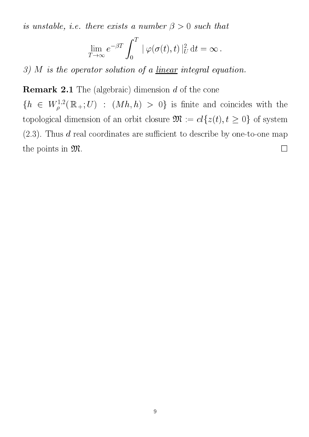is unstable, i.e. there exists a number  $\beta > 0$  such that

$$
\lim_{T \to \infty} e^{-\beta T} \int_0^T \|\varphi(\sigma(t), t)\|_U^2 dt = \infty.
$$

3) M is the operator solution of a <u>linear</u> integral equation.

Remark 2.1 The (algebraic) dimension d of the cone

 $\{h \in W^{\perp,\perp}_{\rho}(\mathbb{R}_+;U) \; : \; (M \, h, \, h) > 0 \}$  is finite and coincides with the topological dimension of an orbit closure  $\mathfrak{M}:=\operatorname{cl}\{z(t), t\geq 0\}$  of system  $(2.3)$ . Thus d real coordinates are sufficient to describe by one-to-one map the points in  $\mathfrak{M}$ .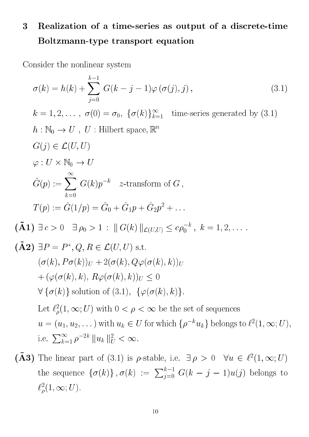## 3 Realization of a time-series as output of a dis
rete-time Boltzmann-type transport equation

Consider the nonlinear system

$$
\sigma(k) = h(k) + \sum_{j=0}^{k-1} G(k - j - 1)\varphi(\sigma(j), j),
$$
\n
$$
k = 1, 2, ..., \sigma(0) = \sigma_0, \{\sigma(k)\}_{k=1}^{\infty} \text{ time-series generated by (3.1)}
$$
\n
$$
h: \mathbb{N}_0 \to U, U: \text{Hilbert space}, \mathbb{R}^n
$$
\n
$$
G(j) \in \mathcal{L}(U, U)
$$
\n
$$
\varphi: U \times \mathbb{N}_0 \to U
$$
\n
$$
\hat{G}(p) := \sum_{k=0}^{\infty} G(k)p^{-k} \quad z\text{-transform of } G,
$$
\n
$$
T(p) := \hat{G}(1/p) = \hat{G}_0 + \hat{G}_1p + \hat{G}_2p^2 + ...
$$
\n
$$
(\tilde{A}1) \exists c > 0 \quad \exists \rho_0 > 1: ||G(k)||_{\mathcal{L}(U,U)} \le c\rho_0^{-k}, k = 1, 2, ....
$$
\n
$$
(\tilde{A}2) \exists P = P^*, Q, R \in \mathcal{L}(U, U) \text{ s.t.}
$$
\n
$$
(\sigma(k), P\sigma(k))_U + 2(\sigma(k), Q\varphi(\sigma(k), k))_U
$$
\n
$$
+ (\varphi(\sigma(k), k), R\varphi(\sigma(k), k))_U \le 0
$$
\n
$$
\forall {\sigma(k)} \text{ solution of (3.1)}, {\varphi(\sigma(k), k)}.
$$
\nLet  $\ell_p^2(1, \infty; U) \text{ with } 0 < \rho < \infty$  be the set of sequences\n
$$
u = (u_1, u_2, ...)
$$
\nwith  $u_k \in U$  for which  $\{\rho^{-k}u_k\}$  belongs to  $\ell^2(1, \infty; U)$ , i.e.  $\sum_{k=1}^{\infty} \rho^{-2k} ||u_k||_0^2 < \infty$ .

(A3) The linear part of (3.1) is p-stable, i.e.  $\exists \rho > 0$   $\forall u \in \ell^-(1, \infty, U)$ the sequence  $\{\sigma(k)\}\$ ,  $\sigma(k) := \sum_{j=0}^{k-1} G(k-j-1)u(j)$  belongs to  $\ell_{\rho}^{-}(1,\infty;U).$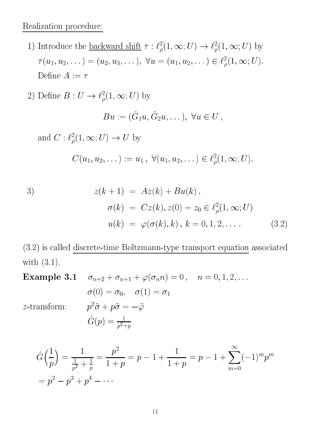### Realization pro
edure:

- 1) introduce the <u>backward shift</u>  $\tau : \ell_{\rho}(1, \infty; U) \to \ell_{\rho}(1, \infty; U)$  by  $\tau(u_1, u_2, \dots) = (u_2, u_3, \dots), \ \forall u = (u_1, u_2, \dots) \in \ell_{\rho}^{-}(1, \infty, U).$ Define  $A := \tau$
- 2) Denne  $D: U \to \ell_{\rho}^{-}(1, \infty, U)$  by  $\sqrt{2}$   $\sqrt{2}$

$$
Bu := (\hat{G}_1u, \hat{G}_2u, \dots), \ \forall u \in U,
$$

and  $C: \ell_{\rho}(1, \infty, U) \to U$  by

$$
C(u_1, u_2, \dots) := u_1, \ \forall (u_1, u_2, \dots) \in \ell^2_{\rho}(1, \infty; U).
$$

3)  
\n
$$
z(k+1) = Az(k) + Bu(k),
$$
\n
$$
\sigma(k) = Cz(k), z(0) = z_0 \in \ell^2_{\rho}(1, \infty; U)
$$
\n
$$
u(k) = \varphi(\sigma(k), k), k = 0, 1, 2, \dots
$$
\n(3.2)

(3.2) is alled dis
rete-time Boltzmann-type transport equation asso
iated with (3.1).

**Example 3.1** 
$$
\sigma_{n+2} + \sigma_{n+1} + \varphi(\sigma_n n) = 0, \quad n = 0, 1, 2, \dots
$$

$$
\sigma(0) = \sigma_0, \quad \sigma(1) = \sigma_1
$$

 $z$ -transform:  $p$ 

$$
p^{2}\tilde{\sigma} + p\tilde{\sigma} = -\tilde{\varphi}
$$

$$
\hat{G}(p) = \frac{1}{p^{2}+p}
$$

$$
\hat{G}\left(\frac{1}{p}\right) = \frac{1}{\frac{1}{p^2} + \frac{1}{p}} = \frac{p^2}{1+p} = p - 1 + \frac{1}{1+p} = p - 1 + \sum_{m=0}^{\infty} (-1)^m p^m
$$

$$
= p^2 - p^3 + p^4 - \dots
$$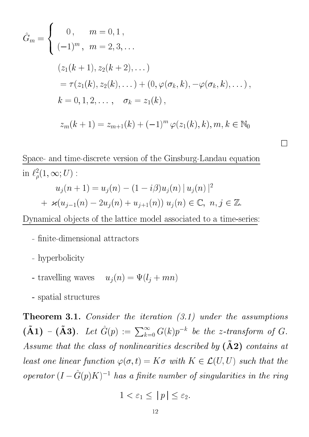$$
\hat{G}_m = \begin{cases}\n0, & m = 0, 1, \\
(-1)^m, & m = 2, 3, \dots \\
(z_1(k+1), z_2(k+2), \dots) \\
= \tau(z_1(k), z_2(k), \dots) + (0, \varphi(\sigma_k, k), -\varphi(\sigma_k, k), \dots), \\
k = 0, 1, 2, \dots, & \sigma_k = z_1(k), \\
z_m(k+1) = z_{m+1}(k) + (-1)^m \varphi(z_1(k), k), m, k \in \mathbb{N}_0\n\end{cases}
$$

Spa
e- and time-dis
rete version of the Ginsburg-Landau equation in  $\ell_{\rho}^{-}(1,\infty;U)$ :  $u_j(n+1) = u_j(n) - (1 - i\rho)u_j(n) ||u_j(n)||$ +  $\varkappa(u_{j-1}(n) - 2u_j(n) + u_{j+1}(n)) u_j(n) \in \mathbb{C}, n, j \in \mathbb{Z}.$ 

 $\Box$ 

Dynamical objects of the lattice model associated to a time-series:

- finite-dimensional attractors
- hyperboli
ity

<sup>8</sup>

- travelling waves  $u_j(n) = \Psi(i_j + mn)$
- spatial stru
tures

**Theorem 3.1.** Consider the iteration  $(3.1)$  under the assumptions  $(A1) - (A3)$ . Let  $\hat{G}(p) := \sum_{k=0}^{\infty} G(k)p^{-k}$  be the z-transform of G. Assume that the class of nonlinearities described by  $\left(\tilde{A}2\right)$  contains at least one linear function  $\varphi(\sigma,t) = K\sigma$  with  $K \in \mathcal{L}(U,U)$  such that the operator  $(I - G(p)K)$  has a finite number of singularities in the ring

$$
1 < \varepsilon_1 \le |p| \le \varepsilon_2.
$$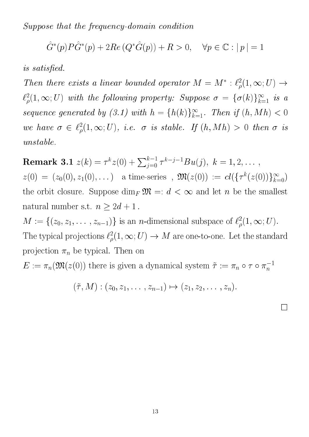Suppose that the frequency-domain condition

$$
\hat{G}^*(p)P\hat{G}^*(p) + 2Re(Q^*\hat{G}(p)) + R > 0, \quad \forall p \in \mathbb{C} : |p| = 1
$$

is satisfied.

Then there exists a tinear bounded operator  $M = M : \ell_{\rho}(1, \infty, U) \rightarrow$  $\ell_{\rho}^{-}(1,\infty;\nu)$  with the following property: Suppose  $o\ =\ o\left(\kappa\right)_{k=1}$  is a sequence generated by  $(3.1)$  with  $n = {n(\kappa)}_{k=1}$ . Then if  $(n, mn) < 0$ we have  $\sigma \in \ell_{\rho}^-(1,\infty;\nu),$  i.e.  $\sigma$  is stable. If  $(n, mn) > 0$  then  $\sigma$  is unstable.

 ${\bf Remark \ 3.1}\,\,z(k)=\tau^k z(0)+\sum_{j=0}^{k-1}\tau^{k-j-1}Bu(j),\,\,k=1,2,\ldots\,,$  $\mathcal{I}^{\mathcal{I}}$  ,  $\mathcal{I}^{\mathcal{I}}$  ,  $\mathcal{I}^{\mathcal{I}}$  ,  $\mathcal{I}^{\mathcal{I}}$  ,  $\mathcal{I}^{\mathcal{I}}$  ,  $\mathcal{I}^{\mathcal{I}}$  ,  $\mathcal{I}^{\mathcal{I}}$  ,  $\mathcal{I}^{\mathcal{I}}$  ,  $\mathcal{I}^{\mathcal{I}}$  ,  $\mathcal{I}^{\mathcal{I}}$  ,  $\mathcal{I}^{\mathcal{I}}$  ,  $\mathcal{I}^{\mathcal{I}}$  ,  $\mathcal{$  $^{k}(z(0))\}_{k=0}^{\infty})$ the orbit closure. Suppose  $\dim_F \mathfrak{M} =: d < \infty$  and let n be the smallest natural number s.t.  $n \geq 2d + 1$ .

 $M := \{ (z_0, z_1, \ldots, z_{n-1}) \}$  is an *n*-dimensional subspace of  $\ell_{\rho}^{-}(1, \infty; U)$ . The typical projections  $\ell_{\rho}^{-}(1,\infty;U) \rightarrow M$  are one-to-one. Let the standard projection  $\pi_n$  be typical. Then on

 $E := \pi_n(\mathcal{W}(\mathcal{Z}(0)))$  there is given a dynamical system  $\tau := \pi_n \circ \tau \circ \pi_n^{-1}$ 

$$
(\tilde{\tau},M):(z_0,z_1,\ldots,z_{n-1})\mapsto (z_1,z_2,\ldots,z_n).
$$

 $\Box$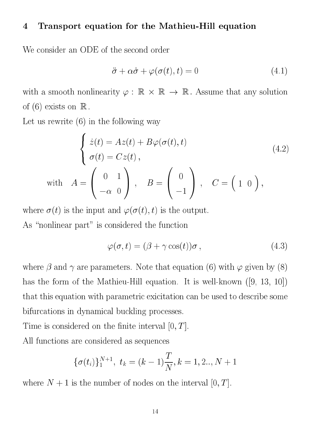#### Transport equation for the Mathieu-Hill equation  $\overline{4}$

We consider an ODE of the second order

$$
\ddot{\sigma} + \alpha \dot{\sigma} + \varphi(\sigma(t), t) = 0 \tag{4.1}
$$

with a smooth nonlinearity  $\varphi$  :  $\mathbb R\,\times\,\mathbb R\,\to\,\mathbb R$  . Assume that any solution of  $(6)$  exists on  $\mathbb R$ .

Let us rewrite (6) in the following way

<sup>8</sup>

$$
\begin{cases}\n\dot{z}(t) = Az(t) + B\varphi(\sigma(t), t) \\
\sigma(t) = Cz(t), \\
\end{cases}
$$
\nwith

\n
$$
A = \begin{pmatrix} 0 & 1 \\ -\alpha & 0 \end{pmatrix}, \quad B = \begin{pmatrix} 0 \\ -1 \end{pmatrix}, \quad C = \begin{pmatrix} 1 & 0 \end{pmatrix},
$$
\n(4.2)

where  $\sigma(t)$  is the input and  $\varphi(\sigma(t), t)$  is the output. As "nonlinear part" is considered the function

$$
\varphi(\sigma, t) = (\beta + \gamma \cos(t))\sigma, \qquad (4.3)
$$

where  $\beta$  and  $\gamma$  are parameters. Note that equation (6) with  $\varphi$  given by (8) has the form of the Mathieu-Hill equation. It is well-known  $([9, 13, 10])$ that this equation with parametric exicitation can be used to describe some bifurcations in dynamical buckling processes.

Time is considered on the finite interval  $[0, T]$ .

All fun
tions are onsidered as sequen
es

$$
\{\sigma(t_i)\}_1^{N+1},\,\,t_k=(k-1)\frac{T}{N},k=1,2..,N+1
$$

where  $N + 1$  is the number of nodes on the interval  $[0, T]$ .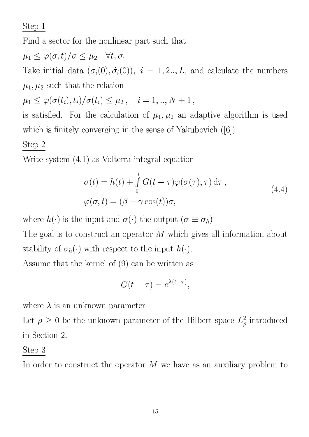Step 1

Find a sector for the nonlinear part such that

 $\mu_1 \leq \varphi(\sigma, t)/\sigma \leq \mu_2 \quad \forall t, \sigma.$ Take initial data  $(v_i(0), v_i(0))$ ,  $i = 1, 2, ..., L$ , and calculate the numbers  $\mu_1, \mu_2$  such that the relation  $\mu_1 \leq \varphi(\sigma(t_i), t_i)/\sigma(t_i) \leq \mu_2, \quad i = 1, .., N + 1$ ,

is satisfied. For the calculation of  $\mu_1, \mu_2$  an adaptive algorithm is used which is finitely converging in the sense of Yakubovich  $([6])$ .

## Step 2

Write system (4.1) as Volterra integral equation

$$
\sigma(t) = h(t) + \int_{0}^{t} G(t - \tau) \varphi(\sigma(\tau), \tau) d\tau,
$$
  

$$
\varphi(\sigma, t) = (\beta + \gamma \cos(t))\sigma,
$$
 (4.4)

where  $h(\cdot)$  is the input and  $\sigma(\cdot)$  the output  $(\sigma \equiv \sigma_h)$ .

The goal is to construct an operator  $M$  which gives all information about stability of  $\sigma_h(\cdot)$  with respect to the input  $h(\cdot)$ .

Assume that the kernel of (9) an be written as

$$
G(t-\tau) = e^{\lambda(t-\tau)},
$$

where  $\lambda$  is an unknown parameter.

Let  $\rho \geq 0$  be the unknown parameter of the Hilbert space  $L_{\rho}^-$  introduced in Se
tion 2.

## Step 3

In order to construct the operator  $M$  we have as an auxiliary problem to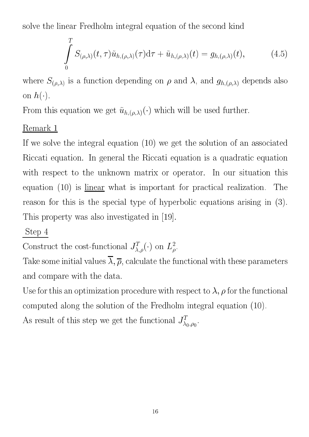solve the linear Fredholm integral equation of the second kind

$$
\int_{0}^{T} S_{(\rho,\lambda)}(t,\tau)\tilde{u}_{h,(\rho,\lambda)}(\tau)d\tau + \tilde{u}_{h,(\rho,\lambda)}(t) = g_{h,(\rho,\lambda)}(t),
$$
\n(4.5)

where  $S_{(\rho,\lambda)}$  is a function depending on  $\rho$  and  $\lambda$ , and  $g_{h,(\rho,\lambda)}$  depends also on  $h(\cdot)$ .

From this equation we get  $\tilde{u}_{h,(\rho,\lambda)}(\cdot)$  which will be used further.

## Remark 1

If we solve the integral equation (10) we get the solution of an asso
iated Riccati equation. In general the Riccati equation is a quadratic equation with respect to the unknown matrix or operator. In our situation this equation  $(10)$  is linear what is important for practical realization. The reason for this is the special type of hyperbolic equations arising in (3). This property was also investigated in [19].

## Step 4

Construct the cost-functional  $J_{\lambda,\rho}^T(\cdot)$  on  $L^2_{\rho}$ .

Take some initial values  $\overline{\lambda}, \overline{\rho}$ , calculate the functional with these parameters and ompare with the data.

Use for this an optimization procedure with respect to  $\lambda$ ,  $\rho$  for the functional omputed along the solution of the Fredholm integral equation (10).

As result of this step we get the functional  $J_{\lambda_0,\rho_0}^T$ .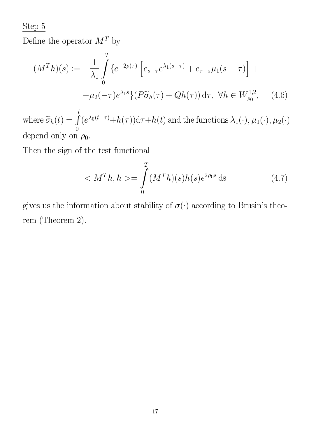Step 5

Define the operator  $M^T$  by

$$
(M^{T}h)(s) := -\frac{1}{\lambda_{1}} \int_{0}^{T} \{ e^{-2\rho(\tau)} \left[ e_{s-\tau} e^{\lambda_{1}(s-\tau)} + e_{\tau-s} \mu_{1}(s-\tau) \right] + \mu_{2}(-\tau) e^{\lambda_{1}s} \} (P\widetilde{\sigma}_{h}(\tau) + Qh(\tau)) d\tau, \ \forall h \in W_{\rho_{0}}^{1,2}, \quad (4.6)
$$

where  $\sigma_h(t) =$  $\frac{t}{\epsilon}$  $(e^{\lambda_0(t-\tau)}+h(\tau))d\tau+h(t)$  and the functions  $\lambda_1(\cdot),\mu_1(\cdot),\mu_2(\cdot)$ depend only on  $\rho_0$ .

Then the sign of the test functional

$$
\langle M^T h, h \rangle = \int_0^T (M^T h)(s) h(s) e^{2\rho_0 s} ds \tag{4.7}
$$

gives us the information about stability of  $\sigma(\cdot)$  according to Brusin's theorem (Theorem 2).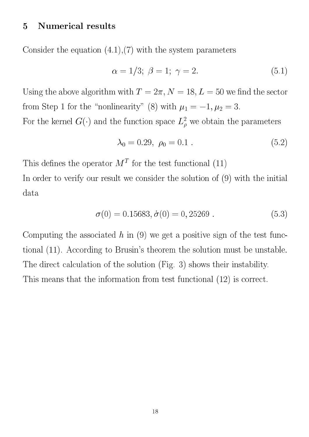### 5 Numeri
al results

Consider the equation  $(4.1)$ ,  $(7)$  with the system parameters

$$
\alpha = 1/3; \ \beta = 1; \ \gamma = 2. \tag{5.1}
$$

Using the above algorithm with  $T = 2\pi$ ,  $N = 18, L = 50$  we find the sector from Step 1 for the "nonlinearity" (8) with  $\mu_1 = -1, \mu_2 = 3$ .

For the kernel  $G(\cdot)$  and the function space  $L_\rho^-$  we obtain the parameters

$$
\lambda_0 = 0.29, \ \rho_0 = 0.1 \ . \tag{5.2}
$$

This defines the operator  $M<sup>T</sup>$  for the test functional (11)

In order to verify our result we consider the solution of  $(9)$  with the initial data

$$
\sigma(0) = 0.15683, \dot{\sigma}(0) = 0,25269. \tag{5.3}
$$

Computing the associated h in  $(9)$  we get a positive sign of the test functional (11). According to Brusin's theorem the solution must be unstable. The direct calculation of the solution (Fig. 3) shows their instability. This means that the information from test functional (12) is correct.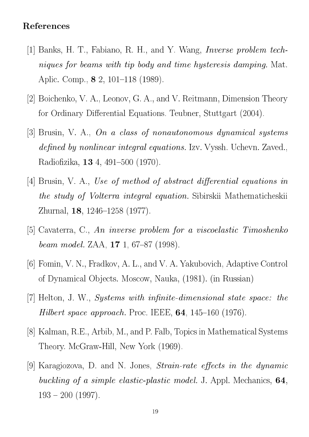### Referen
es

- [1] Banks, H. T., Fabiano, R. H., and Y. Wang, *Inverse problem tech*niques for beams with tip body and time hysteresis damping. Mat. Aplic. Comp., **8** 2, 101–118 (1989).
- [2] Boichenko, V. A., Leonov, G. A., and V. Reitmann, Dimension Theory for Ordinary Differential Equations. Teubner, Stuttgart (2004).
- [3] Brusin, V. A., On a class of nonautonomous dynamical systems defined by nonlinear integral equations. Izv. Vyssh. Uchevn. Zaved., Radiofizika,  $134, 491-500$  (1970).
- [4] Brusin, V. A., Use of method of abstract differential equations in the study of Volterra integral equation. Sibirskii Mathemati
heskii Zhurnal, **18**,  $1246-1258$  (1977).
- $[5]$  Cavaterra, C., An inverse problem for a viscoelastic Timoshenko beam model. ZAA,  $17$  1, 67-87 (1998).
- [6] Fomin, V. N., Fradkov, A. L., and V. A. Yakubovich, Adaptive Control of Dynami
al Ob je
ts. Mos
ow, Nauka, (1981). (in Russian)
- [7] Helton, J. W., Systems with infinite-dimensional state space: the *Hilbert space approach.* Proc. IEEE,  $64$ , 145-160 (1976).
- [8] Kalman, R.E., Arbib, M., and P. Falb, Topics in Mathematical Systems Theory. M
Graw-Hill, New York (1969).
- [9] Karagiozova, D. and N. Jones, *Strain-rate effects in the dynamic* buckling of a simple elastic-plastic model. J. Appl. Mechanics, 64,  $193 - 200$  (1997).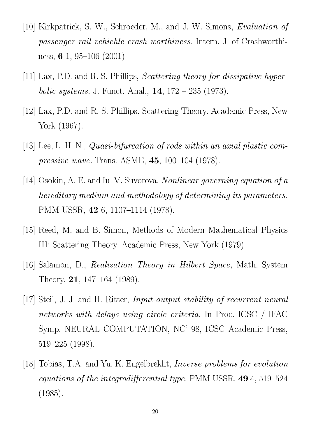- [10] Kirkpatrick, S. W., Schroeder, M., and J. W. Simons, Evaluation of passenger rail vehichle crash worthiness. Intern. J. of Crashworthiness, 6 1, 95–106 (2001).
- [11] Lax, P.D. and R. S. Phillips, *Scattering theory for dissipative hyperbolic systems.* J. Funct. Anal.,  $14$ ,  $172 - 235$  (1973).
- [12] Lax, P.D. and R. S. Phillips, Scattering Theory. Academic Press, New York (1967).
- [13] Lee, L. H. N., *Quasi-bifurcation of rods within an axial plastic compressive wave.* Trans. ASME,  $45$ , 100-104 (1978).
- [14] Osokin, A. E. and Iu. V. Suvorova, *Nonlinear governing equation of a* hereditary medium and methodology of determining its parameters. PMM USSR, 42 6, 1107-1114 (1978).
- [15] Reed, M. and B. Simon, Methods of Modern Mathematical Physics III: S
attering Theory. A
ademi Press, New York (1979).
- [16] Salamon, D., *Realization Theory in Hilbert Space*, Math. System Theory. **21**, 147–164 (1989).
- [17] Steil, J. J. and H. Ritter, *Input-output stability of recurrent neural* networks with delays using circle criteria. In Proc. ICSC / IFAC Symp. NEURAL COMPUTATION, NC' 98, ICSC Academic Press,  $519-225$  (1998).
- [18] Tobias, T.A. and Yu. K. Engelbrekht, *Inverse problems for evolution* equations of the integrodifferential type. PMM USSR,  $494$ , 519-524 (1985).